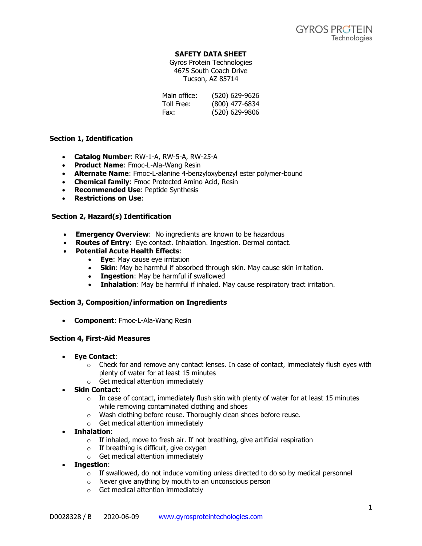# **SAFETY DATA SHEET**

Gyros Protein Technologies 4675 South Coach Drive Tucson, AZ 85714

| Main office: | (520) 629-9626 |
|--------------|----------------|
| Toll Free:   | (800) 477-6834 |
| Fax:         | (520) 629-9806 |

# **Section 1, Identification**

- **Catalog Number**: RW-1-A, RW-5-A, RW-25-A
- **Product Name**: Fmoc-L-Ala-Wang Resin
- **Alternate Name**: Fmoc-L-alanine 4-benzyloxybenzyl ester polymer-bound
- **Chemical family**: Fmoc Protected Amino Acid, Resin
- **Recommended Use**: Peptide Synthesis
- **Restrictions on Use**:

# **Section 2, Hazard(s) Identification**

- **Emergency Overview**: No ingredients are known to be hazardous
- **Routes of Entry**: Eye contact. Inhalation. Ingestion. Dermal contact.
- **Potential Acute Health Effects**:
	- **Eye**: May cause eye irritation
		- **Skin**: May be harmful if absorbed through skin. May cause skin irritation.
		- **Ingestion**: May be harmful if swallowed
		- **Inhalation**: May be harmful if inhaled. May cause respiratory tract irritation.

## **Section 3, Composition/information on Ingredients**

• **Component**: Fmoc-L-Ala-Wang Resin

## **Section 4, First-Aid Measures**

- **Eye Contact**:
	- $\circ$  Check for and remove any contact lenses. In case of contact, immediately flush eyes with plenty of water for at least 15 minutes
	- o Get medical attention immediately
- **Skin Contact**:
	- $\circ$  In case of contact, immediately flush skin with plenty of water for at least 15 minutes while removing contaminated clothing and shoes
	- o Wash clothing before reuse. Thoroughly clean shoes before reuse.
	- o Get medical attention immediately
- **Inhalation**:
	- o If inhaled, move to fresh air. If not breathing, give artificial respiration
	- $\circ$  If breathing is difficult, give oxygen
	- o Get medical attention immediately
- **Ingestion**:
	- $\circ$  If swallowed, do not induce vomiting unless directed to do so by medical personnel
	- o Never give anything by mouth to an unconscious person
	- o Get medical attention immediately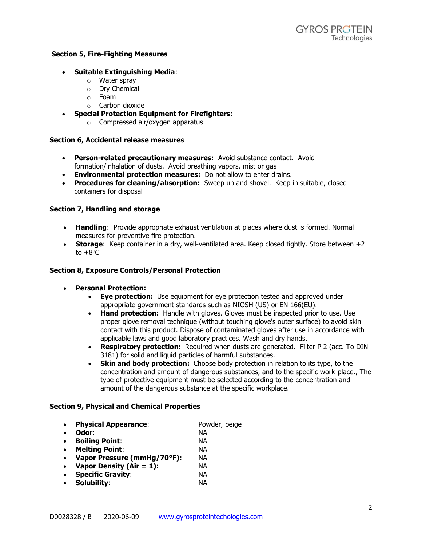### **Section 5, Fire-Fighting Measures**

### • **Suitable Extinguishing Media**:

- o Water spray
- o Dry Chemical
- o Foam
- o Carbon dioxide
- **Special Protection Equipment for Firefighters**:
	- o Compressed air/oxygen apparatus

#### **Section 6, Accidental release measures**

- **Person-related precautionary measures:** Avoid substance contact. Avoid formation/inhalation of dusts. Avoid breathing vapors, mist or gas
- **Environmental protection measures:** Do not allow to enter drains.
- **Procedures for cleaning/absorption:** Sweep up and shovel. Keep in suitable, closed containers for disposal

### **Section 7, Handling and storage**

- **Handling**: Provide appropriate exhaust ventilation at places where dust is formed. Normal measures for preventive fire protection.
- **Storage:** Keep container in a dry, well-ventilated area. Keep closed tightly. Store between +2 to  $+8^{\circ}$ C

#### **Section 8, Exposure Controls/Personal Protection**

- **Personal Protection:**
	- **Eye protection:** Use equipment for eye protection tested and approved under appropriate government standards such as NIOSH (US) or EN 166(EU).
	- **Hand protection:** Handle with gloves. Gloves must be inspected prior to use. Use proper glove removal technique (without touching glove's outer surface) to avoid skin contact with this product. Dispose of contaminated gloves after use in accordance with applicable laws and good laboratory practices. Wash and dry hands.
	- **Respiratory protection:** Required when dusts are generated. Filter P 2 (acc. To DIN 3181) for solid and liquid particles of harmful substances.
	- **Skin and body protection:** Choose body protection in relation to its type, to the concentration and amount of dangerous substances, and to the specific work-place., The type of protective equipment must be selected according to the concentration and amount of the dangerous substance at the specific workplace.

### **Section 9, Physical and Chemical Properties**

|  | <b>Physical Appearance:</b> | Powder, beige |
|--|-----------------------------|---------------|
|--|-----------------------------|---------------|

- **Odor**: NA
- **Boiling Point**: NA
- **Melting Point**: NA
- **Vapor Pressure (mmHg/70°F):** NA
- **Vapor Density (Air = 1):** NA
- **Specific Gravity**: NA
- **Solubility**: NA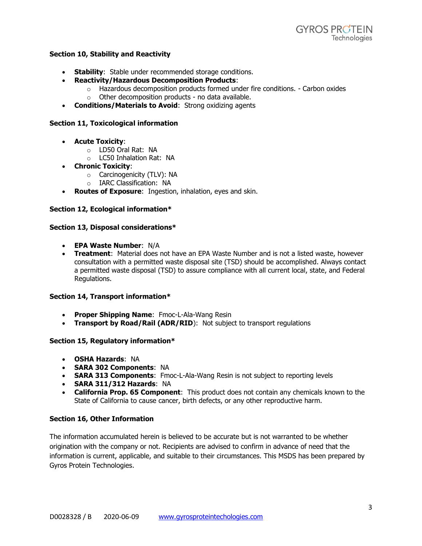## **Section 10, Stability and Reactivity**

- **Stability**: Stable under recommended storage conditions.
- **Reactivity/Hazardous Decomposition Products**:
	- $\circ$  Hazardous decomposition products formed under fire conditions. Carbon oxides
		- $\circ$  Other decomposition products no data available.
- **Conditions/Materials to Avoid**: Strong oxidizing agents

# **Section 11, Toxicological information**

- **Acute Toxicity**:
	- o LD50 Oral Rat: NA
	- o LC50 Inhalation Rat: NA
- **Chronic Toxicity**:
	- o Carcinogenicity (TLV): NA
	- o IARC Classification: NA
- **Routes of Exposure**: Ingestion, inhalation, eyes and skin.

# **Section 12, Ecological information\***

## **Section 13, Disposal considerations\***

- **EPA Waste Number**: N/A
- **Treatment**: Material does not have an EPA Waste Number and is not a listed waste, however consultation with a permitted waste disposal site (TSD) should be accomplished. Always contact a permitted waste disposal (TSD) to assure compliance with all current local, state, and Federal Regulations.

## **Section 14, Transport information\***

- **Proper Shipping Name**: Fmoc-L-Ala-Wang Resin
- **Transport by Road/Rail (ADR/RID**): Not subject to transport regulations

## **Section 15, Regulatory information\***

- **OSHA Hazards**: NA
- **SARA 302 Components**: NA
- **SARA 313 Components**: Fmoc-L-Ala-Wang Resin is not subject to reporting levels
- **SARA 311/312 Hazards**: NA
- **California Prop. 65 Component**: This product does not contain any chemicals known to the State of California to cause cancer, birth defects, or any other reproductive harm.

# **Section 16, Other Information**

The information accumulated herein is believed to be accurate but is not warranted to be whether origination with the company or not. Recipients are advised to confirm in advance of need that the information is current, applicable, and suitable to their circumstances. This MSDS has been prepared by Gyros Protein Technologies.